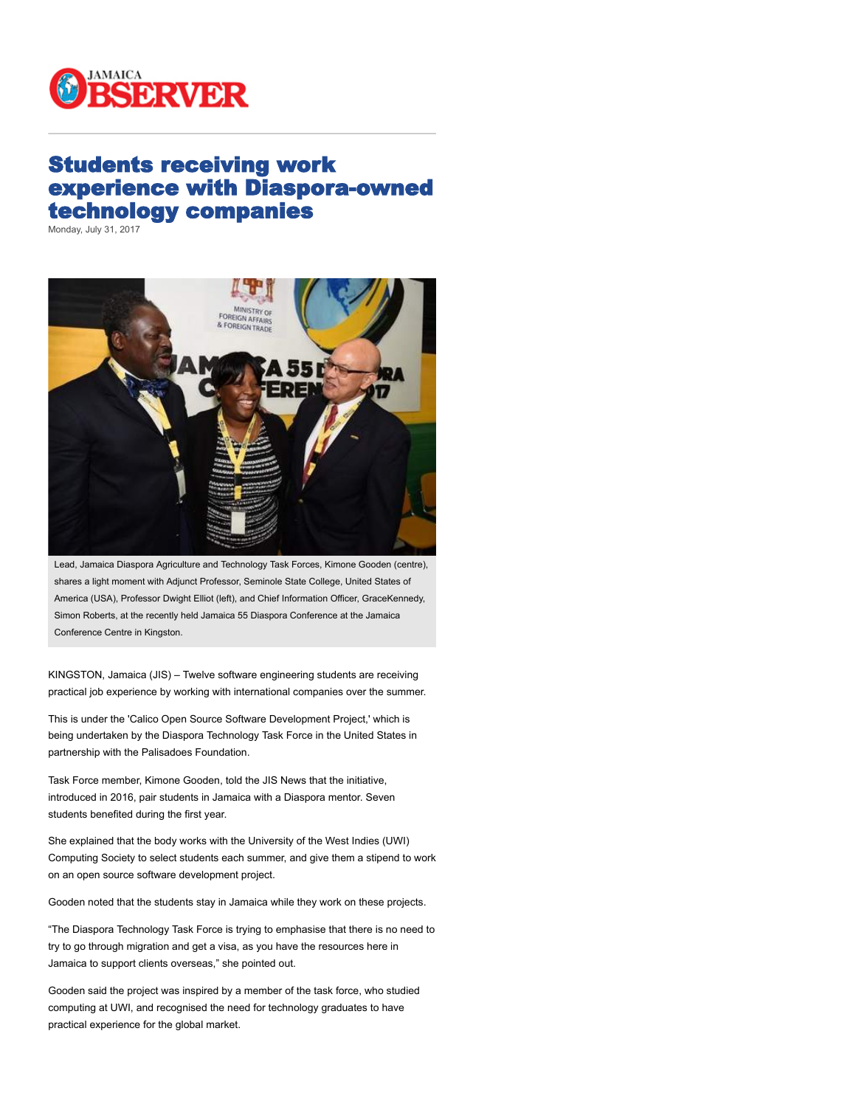

## Students receiving work experience with Diaspora-owned technology companies

Monday, July 31, 2017



Lead, Jamaica Diaspora Agriculture and Technology Task Forces, Kimone Gooden (centre), shares a light moment with Adjunct Professor, Seminole State College, United States of America (USA), Professor Dwight Elliot (left), and Chief Information Officer, GraceKennedy, Simon Roberts, at the recently held Jamaica 55 Diaspora Conference at the Jamaica Conference Centre in Kingston.

KINGSTON, Jamaica (JIS) – Twelve software engineering students are receiving practical job experience by working with international companies over the summer.

This is under the 'Calico Open Source Software Development Project,' which is being undertaken by the Diaspora Technology Task Force in the United States in partnership with the Palisadoes Foundation.

Task Force member, Kimone Gooden, told the JIS News that the initiative, introduced in 2016, pair students in Jamaica with a Diaspora mentor. Seven students benefited during the first year.

She explained that the body works with the University of the West Indies (UWI) Computing Society to select students each summer, and give them a stipend to work on an open source software development project.

Gooden noted that the students stay in Jamaica while they work on these projects.

"The Diaspora Technology Task Force is trying to emphasise that there is no need to try to go through migration and get a visa, as you have the resources here in Jamaica to support clients overseas," she pointed out.

Gooden said the project was inspired by a member of the task force, who studied computing at UWI, and recognised the need for technology graduates to have practical experience for the global market.